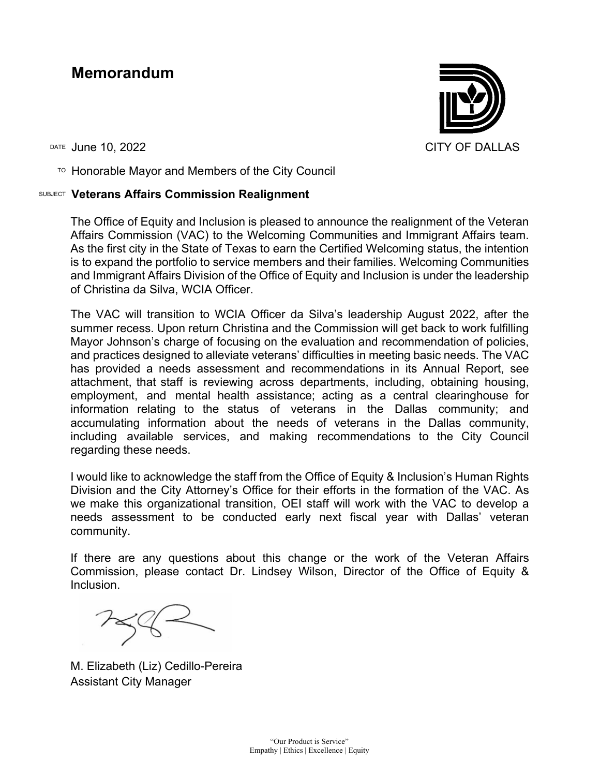### **Memorandum**

 $T$ <sup>O</sup> Honorable Mayor and Members of the City Council

#### SUBJECT **Veterans Affairs Commission Realignment**

The Office of Equity and Inclusion is pleased to announce the realignment of the Veteran Affairs Commission (VAC) to the Welcoming Communities and Immigrant Affairs team. As the first city in the State of Texas to earn the Certified Welcoming status, the intention is to expand the portfolio to service members and their families. Welcoming Communities and Immigrant Affairs Division of the Office of Equity and Inclusion is under the leadership of Christina da Silva, WCIA Officer.

The VAC will transition to WCIA Officer da Silva's leadership August 2022, after the summer recess. Upon return Christina and the Commission will get back to work fulfilling Mayor Johnson's charge of focusing on the evaluation and recommendation of policies, and practices designed to alleviate veterans' difficulties in meeting basic needs. The VAC has provided a needs assessment and recommendations in its Annual Report, see attachment, that staff is reviewing across departments, including, obtaining housing, employment, and mental health assistance; acting as a central clearinghouse for information relating to the status of veterans in the Dallas community; and accumulating information about the needs of veterans in the Dallas community, including available services, and making recommendations to the City Council regarding these needs.

I would like to acknowledge the staff from the Office of Equity & Inclusion's Human Rights Division and the City Attorney's Office for their efforts in the formation of the VAC. As we make this organizational transition, OEI staff will work with the VAC to develop a needs assessment to be conducted early next fiscal year with Dallas' veteran community.

If there are any questions about this change or the work of the Veteran Affairs Commission, please contact Dr. Lindsey Wilson, Director of the Office of Equity & Inclusion.

M. Elizabeth (Liz) Cedillo-Pereira Assistant City Manager

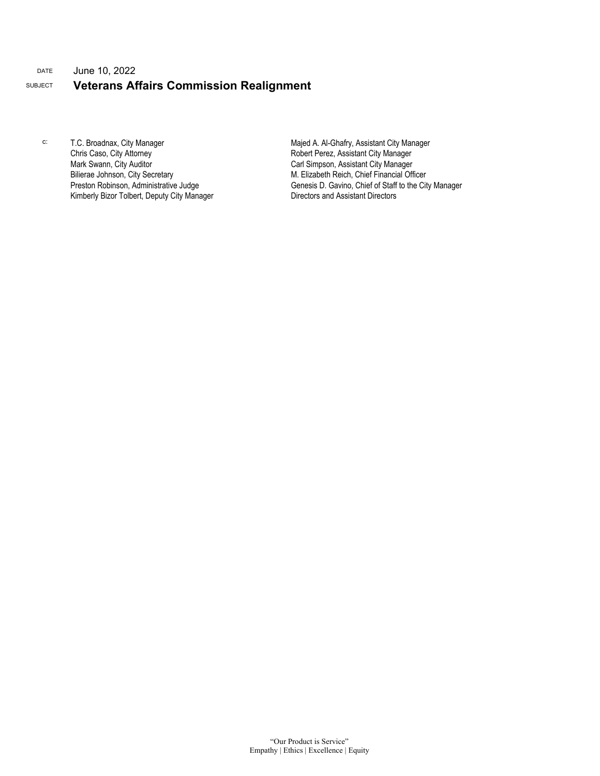#### DATE June 10, 2022 SUBJECT **Veterans Affairs Commission Realignment**

c: T.C. Broadnax, City Manager Chris Caso, City Attorney Mark Swann, City Auditor Bilierae Johnson, City Secretary Preston Robinson, Administrative Judge Kimberly Bizor Tolbert, Deputy City Manager Majed A. Al-Ghafry, Assistant City Manager Robert Perez, Assistant City Manager Carl Simpson, Assistant City Manager M. Elizabeth Reich, Chief Financial Officer Genesis D. Gavino, Chief of Staff to the City Manager Directors and Assistant Directors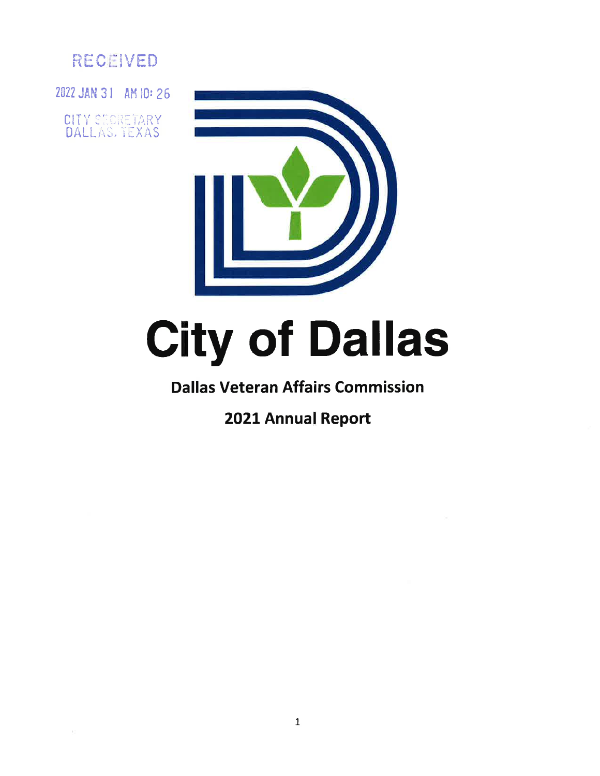

2022 JAN 31 AM IO: 26

CITY SECRETARY DALLAS, TEXAS



# City of Dallas

## Dallas Veteran Affairs Commission

# 2021 Annual Report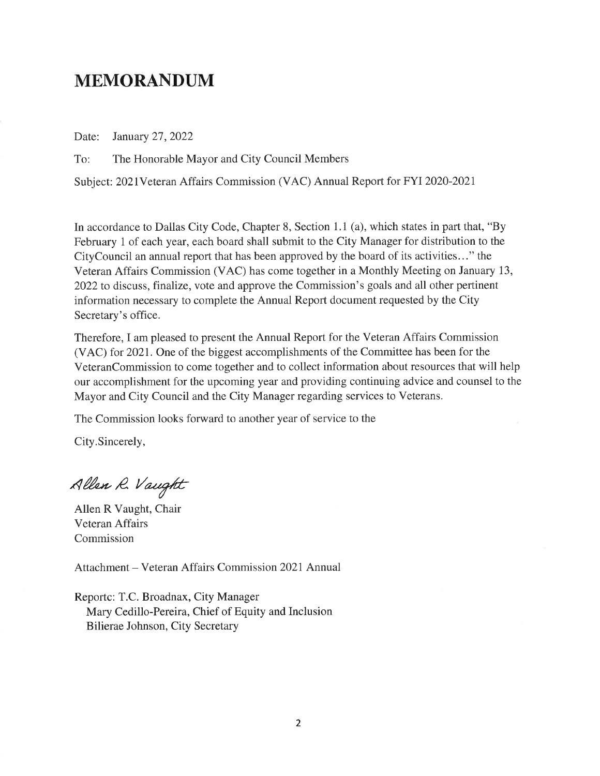## MEMORANDUM

Date: January 27,2022

To: The Honorable Mayor and City Council Members

Subject: 2021Veteran Affairs Commission (VAC) Annual Report for FYI 2020-2021

In accordance to Dallas City Code, Chapter 8, Section 1.1 (a), which states in part that, "By February 1 of each year, each board shall submit to the City Manager for distribution to the CityCouncil an annual report that has been approved by the board of its activities..." the Veteran Affairs Commission (VAC) has come together in a Monthly Meeting on January 13, 2022to discuss, finalize, vote and approve the Commission's goals and all other pertinent information necessary to complete the Annual Report document requested by the City Secretary's office.

Therefore, I am pleased to present the Annual Report for the Veteran Affairs Commission (VAC) for 202I. One of the biggest accomplishments of the Committee has been for the VeteranCommission to come together and to collect information about resources that will help our accomplishment for the upcoming year and providing continuing advice and counsel to the Mayor and City Council and the City Manager regarding services to Veterans.

The Commission looks forward to another year of service to the

City.Sincerely,

Allen R. Vaught

Allen R Vaught, Chair Veteran Affairs Commission

Attachment - Veteran Affairs Commission 2021 Annual

Reportc: T.C. Broadnax, City Manager Mary Cedillo-Pereira, Chief of Equity and Inclusion Bilierae Johnson, City Secretary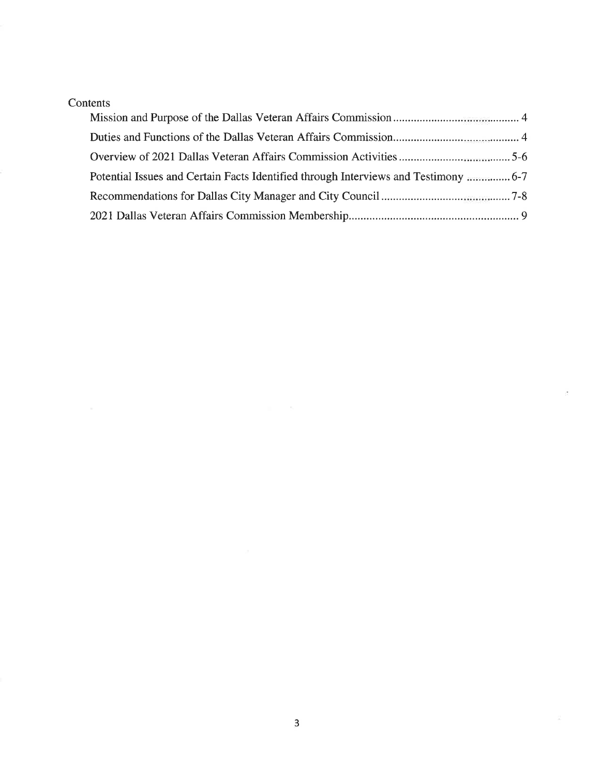#### Contents

| Potential Issues and Certain Facts Identified through Interviews and Testimony  6-7 |  |
|-------------------------------------------------------------------------------------|--|
|                                                                                     |  |
|                                                                                     |  |

 $\langle \overline{z} \rangle$ 

 $\sim$   $\sim$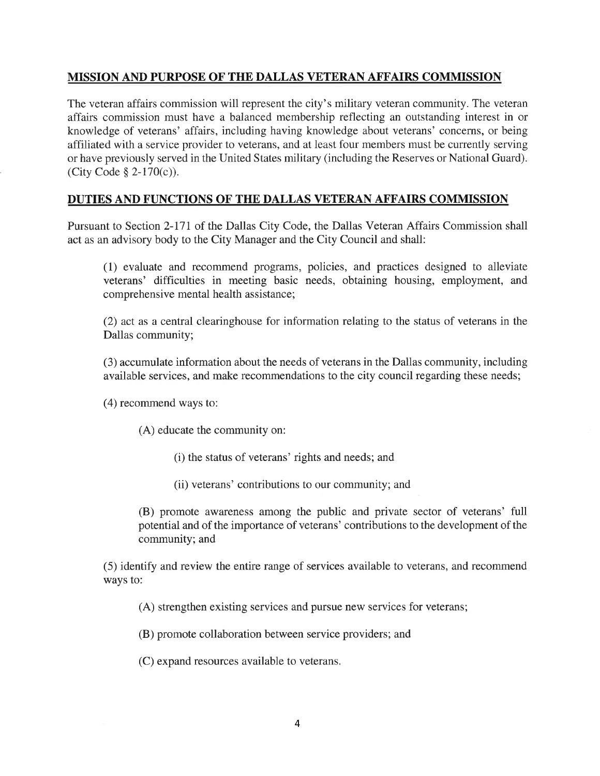#### MISSION AND PURPOSE OF THE DALLAS VETERAN AFFAIRS COMMISSION

The veteran affairs commission will represent the city's military veteran community. The veteran affairs commission must have a balanced membership reflecting an outstanding interest in or knowledge of veterans' affairs, including having knowledge about veterans' concerns, or being affiliated with a service provider to veterans, and at least four members must be currently serving or have previously served in the United States military (including the Reserves or National Guard). (City Code \$ 2-170(c)).

#### DUTIES AND FUNCTIONS OF THE DALLAS VETERAN AFFAIRS COMMISSION

Pursuant to Section 2-171 of the Dallas City Code, the Dallas Veteran Affairs Commission shall act as an advisory body to the City Manager and the City Council and shall:

(1) evaluate and recommend programs, policies, and practices designed to alleviate veterans' difficulties in meeting basic needs, obtaining housing, employment, and comprehensive mental health assistance;

(2) act as a central clearinghouse for information relating to the status of veterans in the Dallas community;

(3) accumulate information about the needs of veterans in the Dallas community, including available services, and make recommendations to the city council regarding these needs;

(4) recommend ways to:

(A) educate the community on:

(i) the status of veterans' rights and needs; and

(ii) veterans' contributions to our community; and

(B) promote awareness among the public and private sector of veterans' full potential and of the importance of veterans' contributions to the development of the community; and

(5) identify and review the entire range of services available to veterans, and recommend ways to:

(A) strengthen existing services and pursue new services for veterans;

(B) promote collaboration between service providers; and

(C) expand resources available to veterans.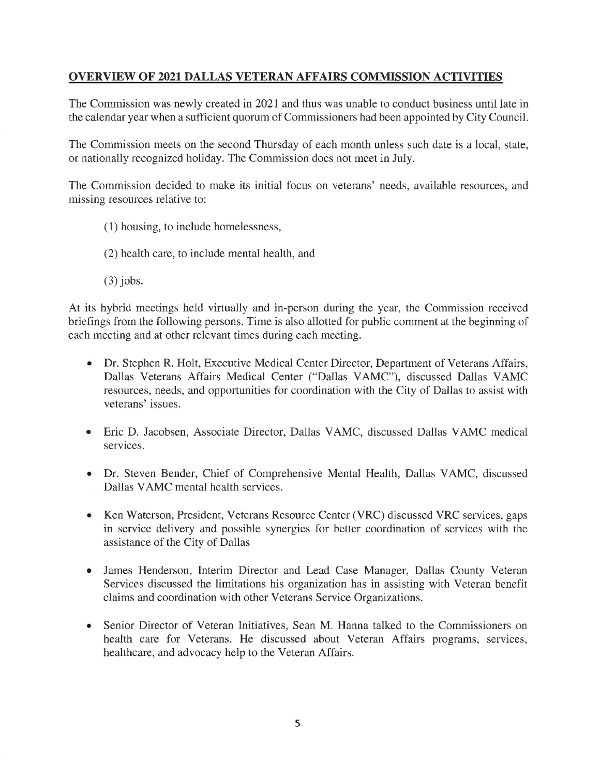#### OVERVIEW OF 2021 DALLAS VETERAN AFFAIRS COMMISSION ACTIVITIES

The Commission was newly created in 2021 and thus was unable to conduct business until late in the calendar year when a sufficient quorum of Commissioners had been appointed by City Council.

The Commission meets on the second Thursday of each month unless such date is a local, state, or nationally recognized holiday. The Commission does not meet in July.

The Commission decided to make its initial focus on veterans' needs, available resources, and missing resources relative to:

- (1) housing, to include homelessness,
- (2) health care, to include mental health, and
- (3) jobs.

At its hybrid meetings held virtually and in-person during the year, the Commission received briefings from the following persons. Time is also allotted for public comment at the beginning of each meeting and at other relevant times during each meeting.

- Dr. Stephen R. Holt, Executive Medical Center Director, Department of Veterans Affairs, Dallas Veterans Affairs Medical Center ("Dallas VAMC"), discussed Dallas VAMC resources, needs, and opportunities for coordination with the City of Dallas to assist with veterans' issues.
- <sup>a</sup> Eric D. Jacobsen, Associate Director, Dallas VAMC, discussed Dallas VAMC medical services.
- Dr. Steven Bender, Chief of Comprehensive Mental Health, Dallas VAMC, discussed Dallas VAMC mental health services.
- Ken Waterson, President, Veterans Resource Center (VRC) discussed VRC services, gaps in service delivery and possible synergies for better coordination of services with the assistance of the City of Dallas a
- James Henderson, Interim Director and Lead Case Manager, Dallas County Veteran Services discussed the limitations his organization has in assisting with Veteran benefit claims and coordination with other Veterans Service Organizations. a
- Senior Director of Veteran Initiatives, Sean M. Hanna talked to the Commissioners on health care for Veterans. He discussed about Veteran Affairs programs, services, healthcare, and advocacy help to the Veteran Affairs. a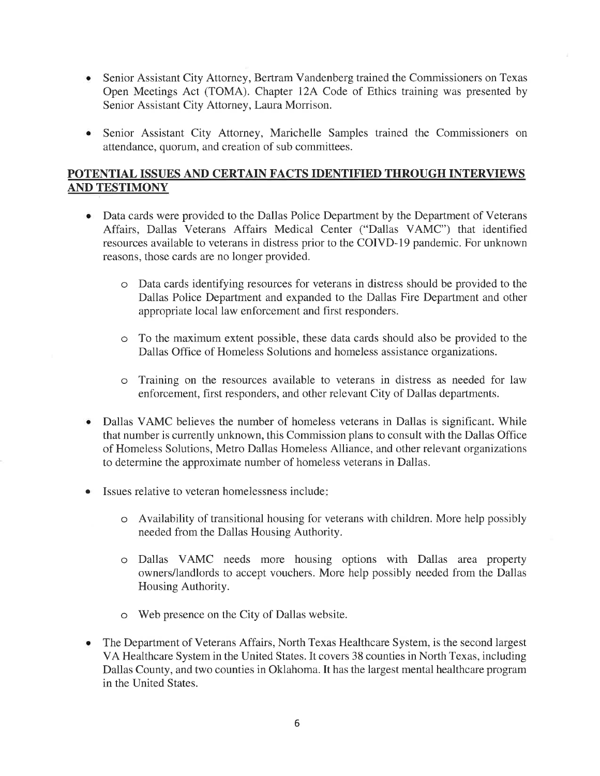- Senior Assistant City Attorney, Bertram Vandenberg trained the Commissioners on Texas Open Meetings Act (TOMA). Chapter l2A Code of Ethics training was presented by Senior Assistant City Attorney, Laura Morrison. a
- Senior Assistant City Attorney, Marichelle Samples trained the Commissioners on  $\bullet$ attendance, quorum, and creation of sub committees.

#### POTENTIAL ISSUES AND CERTAIN FACTS IDENTIFIED THROUGH INTERVIEWS AND TESTIMONY

- Data cards were provided to the Dallas Police Department by the Department of Veterans Affairs, Dallas Veterans Affairs Medical Center ("Dallas VAMC") that identified resources available to veterans in distress prior to the COIVD-19 pandemic. For unknown reasons, those cards are no longer provided.
	- o Data cards identifying resources for veterans in distress should be provided to the Dallas Police Department and expanded to the Dallas Fire Department and other appropriate local law enforcement and first responders.
	- o To the maximum extent possible, these data cards should also be provided to the Dallas Office of Homeless Solutions and homeless assistance organizations.
	- o Training on the resources available to veterans in distress as needed for law enforcement, first responders, and other relevant City of Dallas departments.
- Dallas VAMC believes the number of homeless veterans in Dallas is significant. While that number is currently unknown, this Commission plans to consult with the Dallas Office of Homeless Solutions, Metro Dallas Homeless Alliance, and other relevant organizations to determine the approximate number of homeless veterans in Dallas.
- Issues relative to veteran homelessness include:
	- o Availability of transitional housing for veterans with children. More help possibly needed from the Dallas Housing Authority.
	- o Dallas VAMC needs more housing options with Dallas area property owners/landlords to accept vouchers. More help possibly needed from the Dallas Housing Authority.
	- o Web presence on the City of Dallas website.
- The Department of Veterans Affairs, North Texas Healthcare System, is the second largest VA Healthcare System in the United States. It covers 38 counties in North Texas, including Dallas County, and two counties in Oklahoma. It has the largest mental healthcare program in the United States. a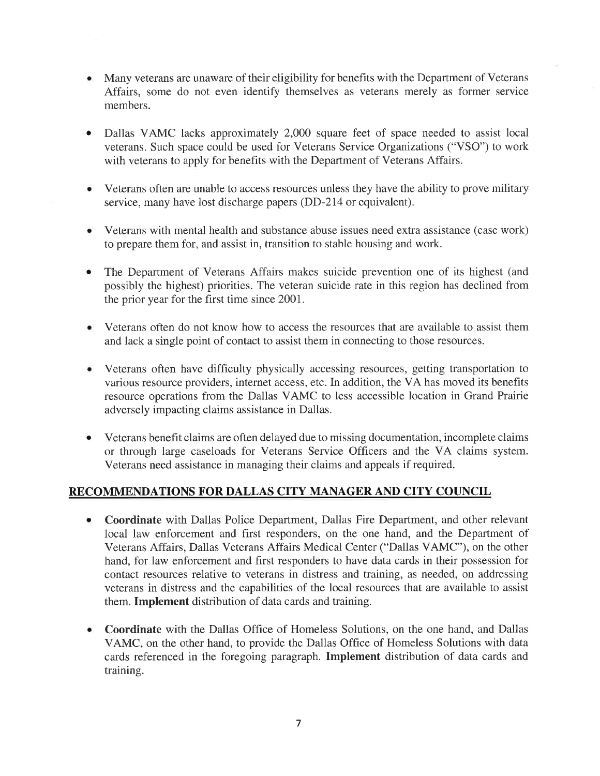- Many veterans are unaware of their eligibility for benefits with the Department of Veterans Affairs, some do not even identify themselves as veterans merely as former service members.
- Dallas VAMC lacks approximately 2,000 square feet of space needed to assist local veterans. Such space could be used for Veterans Service Organizations ("VSO") to work with veterans to apply for benefits with the Department of Veterans Affairs. a
- Veterans often are unable to access resources unless they have the ability to prove military service, many have lost discharge papers (DD-2I4 or equivalent). a
- Veterans with mental health and substance abuse issues need extra assistance (case work) to prepare them for, and assist in, transition to stable housing and work.
- The Department of Veterans Affairs makes suicide prevention one of its highest (and possibly the highest) priorities. The veteran suicide rate in this region has declined from the prior year for the first time since 2001. o
- Veterans often do not know how to access the resources that are available to assist them and lack a single point of contact to assist them in connecting to those resources.
- Veterans often have difficulty physically accessing resources, getting transportation to various resource providers, internet access, etc. In addition, the VA has moved its benefits resource operations from the Dallas VAMC to less accessible location in Grand Prairie adversely impacting claims assistance in Dallas.
- Veterans benefit claims are often delayed due to missing documentation, incomplete claims or through large caseloads for Veterans Service Officers and the VA claims system. Veterans need assistance in managing their claims and appeals if required. o

#### RECOMMENDATIONS FOR DALLAS CITY MANAGER AND CITY COUNCIL

- Coordinate with Dallas Police Department, Dallas Fire Department, and other relevant local law enforcement and first responders, on the one hand, and the Department of Veterans Affairs, Dallas Veterans Affairs Medical Center ("Dallas VAMC"), on the other hand, for law enforcement and first responders to have data cards in their possession for contact resources relative to veterans in distress and training, as needed, on addressing veterans in distress and the capabilities of the local resources that are available to assist them. Implement distribution of data cards and training. o
- Coordinate with the Dallas Office of Homeless Solutions, on the one hand, and Dallas VAMC, on the other hand, to provide the Dallas Office of Homeless Solutions with data cards referenced in the foregoing paragraph. Implement distribution of data cards and training. o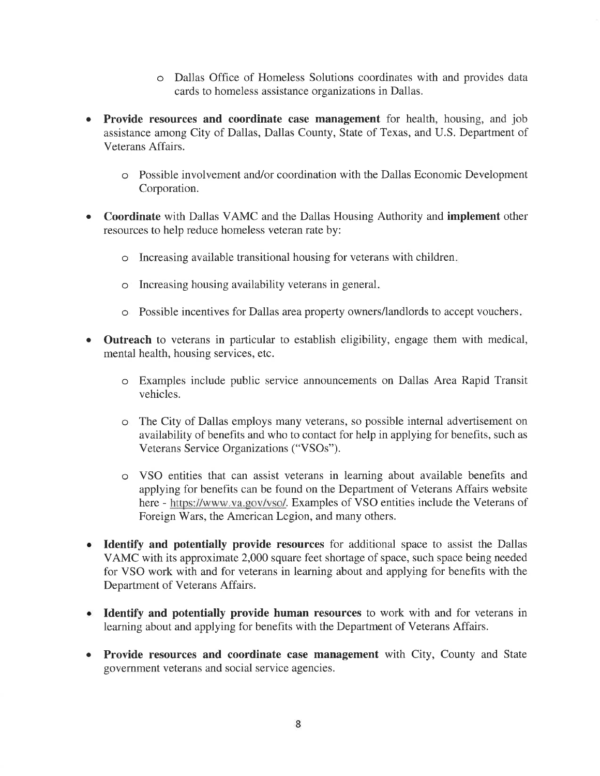- o Dallas Office of Homeless Solutions coordinates with and provides data cards to homeless assistance organizations in Dallas.
- a Provide resources and coordinate case management for health, housing, and job assistance among City of Dallas, Dallas County, State of Texas, and U.S. Department of Veterans Affairs.
	- o Possible involvement and/or coordination with the Dallas Economic Development Corporation.
- o Coordinate with Dallas VAMC and the Dallas Housing Authority and implement other resources to help reduce homeless veteran rate by:
	- o Increasing available transitional housing for veterans with children
	- Increasing housing availability veterans in general o
	- Possible incentives for Dallas area property owners/landlords to accept vouchers o
- Outreach to veterans in particular to establish eligibility, engage them with medical, mental health, housing services, etc. a
	- o Examples include public service announcements on Dallas Area Rapid Transit vehicles.
	- o The City of Dallas employs many veterans, so possible internal advertisement on availability of benefits and who to contact for help in applying for benefits, such as Veterans Service Organizations ("VSOs").
	- o VSO entities that can assist veterans in learning about available benefits and applying for benefits can be found on the Department of Veterans Affairs website here - https://www.va.gov/vso/. Examples of VSO entities include the Veterans of Foreign Wars, the American Legion, and many others.
- a Identify and potentially provide resources for additional space to assist the Dallas VAMC with its approximate 2,000 square feet shortage of space, such space being needed for VSO work with and for veterans in learning about and applying for benefits with the Department of Veterans Affairs.
- Identify and potentially provide human resources to work with and for veterans in learning about and applying for benefits with the Department of Veterans Affairs.
- Provide resources and coordinate case management with City, County and State government veterans and social service agencies. a